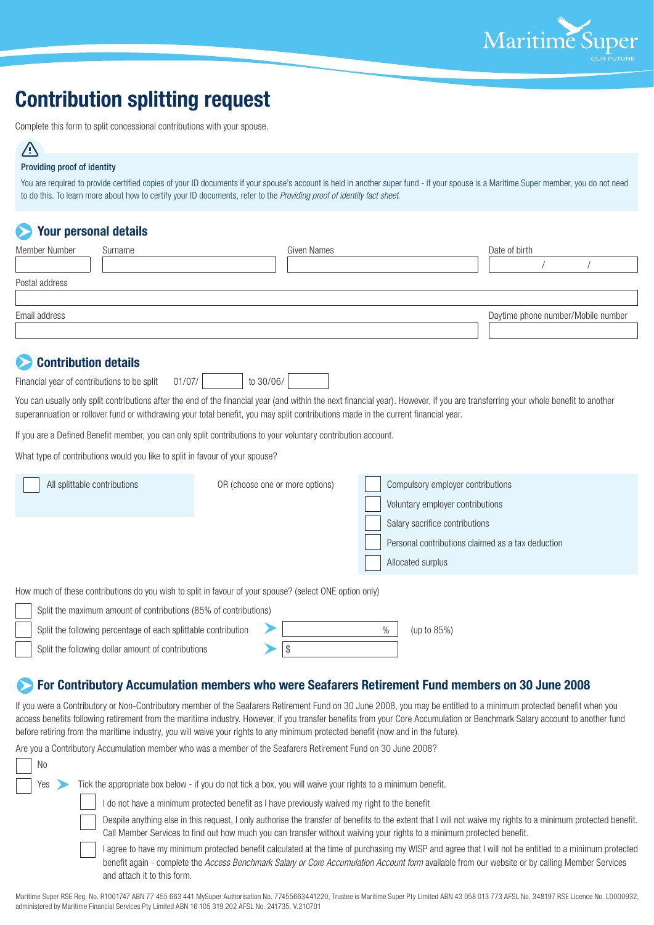

# **Contribution splitting request**

Complete this form to split concessional contributions with your spouse.

## /l/

#### Providing proof of identity

You are required to provide certified copies of your ID documents if your spouse's account is held in another super fund - if your spouse is a Maritime Super member, you do not need to do this. To learn more about how to certify your ID documents, refer to the *Providing proof of identity fact sheet*.

## **Your personal details**

| Member Number<br>Surname                                                                                                                                                                                                                                |                                                                                                             | Given Names |                                                                                                                              | Date of birth                                                                                                                                                                                                                                                                                                                                                                                                                                         |  |
|---------------------------------------------------------------------------------------------------------------------------------------------------------------------------------------------------------------------------------------------------------|-------------------------------------------------------------------------------------------------------------|-------------|------------------------------------------------------------------------------------------------------------------------------|-------------------------------------------------------------------------------------------------------------------------------------------------------------------------------------------------------------------------------------------------------------------------------------------------------------------------------------------------------------------------------------------------------------------------------------------------------|--|
|                                                                                                                                                                                                                                                         |                                                                                                             |             |                                                                                                                              |                                                                                                                                                                                                                                                                                                                                                                                                                                                       |  |
| Postal address                                                                                                                                                                                                                                          |                                                                                                             |             |                                                                                                                              |                                                                                                                                                                                                                                                                                                                                                                                                                                                       |  |
| Email address                                                                                                                                                                                                                                           |                                                                                                             |             |                                                                                                                              | Daytime phone number/Mobile number                                                                                                                                                                                                                                                                                                                                                                                                                    |  |
| <b>Contribution details</b>                                                                                                                                                                                                                             |                                                                                                             |             |                                                                                                                              |                                                                                                                                                                                                                                                                                                                                                                                                                                                       |  |
| Financial year of contributions to be split                                                                                                                                                                                                             | 01/07/                                                                                                      | to 30/06/   |                                                                                                                              |                                                                                                                                                                                                                                                                                                                                                                                                                                                       |  |
| superannuation or rollover fund or withdrawing your total benefit, you may split contributions made in the current financial year.                                                                                                                      |                                                                                                             |             |                                                                                                                              | You can usually only split contributions after the end of the financial year (and within the next financial year). However, if you are transferring your whole benefit to another                                                                                                                                                                                                                                                                     |  |
| If you are a Defined Benefit member, you can only split contributions to your voluntary contribution account.                                                                                                                                           |                                                                                                             |             |                                                                                                                              |                                                                                                                                                                                                                                                                                                                                                                                                                                                       |  |
| What type of contributions would you like to split in favour of your spouse?                                                                                                                                                                            |                                                                                                             |             |                                                                                                                              |                                                                                                                                                                                                                                                                                                                                                                                                                                                       |  |
| All splittable contributions<br>OR (choose one or more options)                                                                                                                                                                                         |                                                                                                             |             | Compulsory employer contributions<br>Voluntary employer contributions<br>Salary sacrifice contributions<br>Allocated surplus | Personal contributions claimed as a tax deduction                                                                                                                                                                                                                                                                                                                                                                                                     |  |
| How much of these contributions do you wish to split in favour of your spouse? (select ONE option only)                                                                                                                                                 |                                                                                                             |             |                                                                                                                              |                                                                                                                                                                                                                                                                                                                                                                                                                                                       |  |
| Split the maximum amount of contributions (85% of contributions)<br>Split the following percentage of each splittable contribution<br>\$<br>Split the following dollar amount of contributions                                                          |                                                                                                             |             | $\%$<br>(up to 85%)                                                                                                          |                                                                                                                                                                                                                                                                                                                                                                                                                                                       |  |
| before retiring from the maritime industry, you will waive your rights to any minimum protected benefit (now and in the future).<br>Are you a Contributory Accumulation member who was a member of the Seafarers Retirement Fund on 30 June 2008?<br>No |                                                                                                             |             |                                                                                                                              | For Contributory Accumulation members who were Seafarers Retirement Fund members on 30 June 2008<br>If you were a Contributory or Non-Contributory member of the Seafarers Retirement Fund on 30 June 2008, you may be entitled to a minimum protected benefit when you<br>access benefits following retirement from the maritime industry. However, if you transfer benefits from your Core Accumulation or Benchmark Salary account to another fund |  |
| Yes<br>$\rightarrow$                                                                                                                                                                                                                                    | Tick the appropriate box below - if you do not tick a box, you will waive your rights to a minimum benefit. |             |                                                                                                                              |                                                                                                                                                                                                                                                                                                                                                                                                                                                       |  |
|                                                                                                                                                                                                                                                         | I do not have a minimum protected benefit as I have previously waived my right to the benefit               |             |                                                                                                                              | Despite anything else in this request, I only authorise the transfer of benefits to the extent that I will not waive my rights to a minimum protected benefit.                                                                                                                                                                                                                                                                                        |  |

Call Member Services to find out how much you can transfer without waiving your rights to a minimum protected benefit.

I agree to have my minimum protected benefit calculated at the time of purchasing my WISP and agree that I will not be entitled to a minimum protected benefit again - complete the *Access Benchmark Salary or Core Accumulation Account form* available from our website or by calling Member Services and attach it to this form.

Maritime Super RSE Reg. No. R1001747 ABN 77 455 663 441 MySuper Authorisation No. 77455663441220, Trustee is Maritime Super Pty Limited ABN 43 058 013 773 AFSL No. 348197 RSE Licence No. L0000932, administered by Maritime Financial Services Pty Limited ABN 16 105 319 202 AFSL No. 241735. V.210701